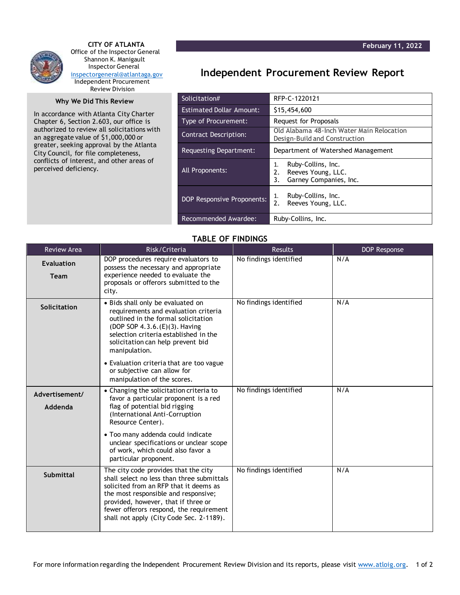

 **CITY OF ATLANTA** Office of the Inspector General Shannon K. Manigault Inspector General [inspectorgeneral@atlantaga.gov](mailto:inspectorgeneral@atlantaga.gov) Independent Procurement Review Division

## **Why We Did This Review**

In accordance with Atlanta City Charter Chapter 6, Section 2.603, our office is authorized to review all solicitations with an aggregate value of \$1,000,000 or greater, seeking approval by the Atlanta City Council, for file completeness, conflicts of interest, and other areas of perceived deficiency.

## **Independent Procurement Review Report**

| Solicitation#                   | RFP-C-1220121                                                                        |  |  |
|---------------------------------|--------------------------------------------------------------------------------------|--|--|
| <b>Estimated Dollar Amount:</b> | \$15,454,600                                                                         |  |  |
| Type of Procurement:            | Request for Proposals                                                                |  |  |
| Contract Description:           | Old Alabama 48-Inch Water Main Relocation<br>Design-Build and Construction           |  |  |
| <b>Requesting Department:</b>   | Department of Watershed Management                                                   |  |  |
| All Proponents:                 | Ruby-Collins, Inc.<br>1.<br>Reeves Young, LLC.<br>2.<br>Garney Companies, Inc.<br>3. |  |  |
| DOP Responsive Proponents:      | Ruby-Collins, Inc.<br>1.<br>2.<br>Reeves Young, LLC.                                 |  |  |
| Recommended Awardee:            | Ruby-Collins, Inc.                                                                   |  |  |

## **TABLE OF FINDINGS**

| <b>Review Area</b>               | Risk/Criteria                                                                                                                                                                                                                                                                                      | <b>Results</b>         | <b>DOP Response</b> |
|----------------------------------|----------------------------------------------------------------------------------------------------------------------------------------------------------------------------------------------------------------------------------------------------------------------------------------------------|------------------------|---------------------|
| <b>Evaluation</b><br><b>Team</b> | DOP procedures require evaluators to<br>possess the necessary and appropriate<br>experience needed to evaluate the<br>proposals or offerors submitted to the<br>city.                                                                                                                              | No findings identified | N/A                 |
| Solicitation                     | • Bids shall only be evaluated on<br>requirements and evaluation criteria<br>outlined in the formal solicitation<br>(DOP SOP 4.3.6.(E)(3). Having<br>selection criteria established in the<br>solicitation can help prevent bid<br>manipulation.                                                   | No findings identified | N/A                 |
|                                  | • Evaluation criteria that are too vague<br>or subjective can allow for<br>manipulation of the scores.                                                                                                                                                                                             |                        |                     |
| Advertisement/<br>Addenda        | • Changing the solicitation criteria to<br>favor a particular proponent is a red<br>flag of potential bid rigging<br>(International Anti-Corruption<br>Resource Center).                                                                                                                           | No findings identified | N/A                 |
|                                  | • Too many addenda could indicate<br>unclear specifications or unclear scope<br>of work, which could also favor a<br>particular proponent.                                                                                                                                                         |                        |                     |
| Submittal                        | The city code provides that the city<br>shall select no less than three submittals<br>solicited from an RFP that it deems as<br>the most responsible and responsive;<br>provided, however, that if three or<br>fewer offerors respond, the requirement<br>shall not apply (City Code Sec. 2-1189). | No findings identified | N/A                 |